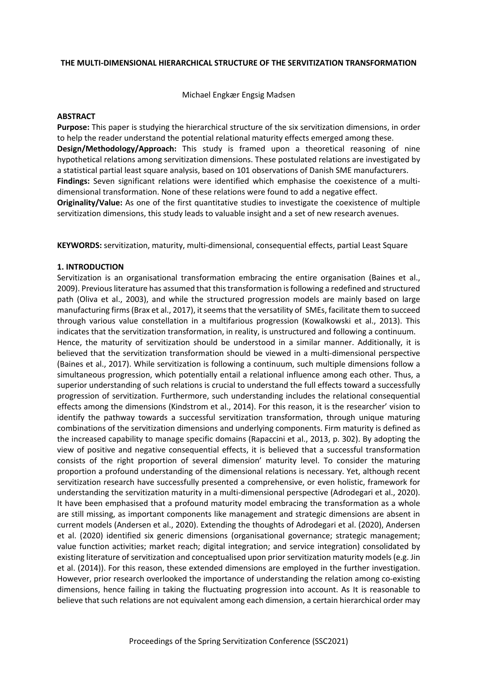### **THE MULTI-DIMENSIONAL HIERARCHICAL STRUCTURE OF THE SERVITIZATION TRANSFORMATION**

Michael Engkær Engsig Madsen

### **ABSTRACT**

**Purpose:** This paper is studying the hierarchical structure of the six servitization dimensions, in order to help the reader understand the potential relational maturity effects emerged among these. **Design/Methodology/Approach:** This study is framed upon a theoretical reasoning of nine hypothetical relations among servitization dimensions. These postulated relations are investigated by a statistical partial least square analysis, based on 101 observations of Danish SME manufacturers. **Findings:** Seven significant relations were identified which emphasise the coexistence of a multidimensional transformation. None of these relations were found to add a negative effect. **Originality/Value:** As one of the first quantitative studies to investigate the coexistence of multiple servitization dimensions, this study leads to valuable insight and a set of new research avenues.

**KEYWORDS:** servitization, maturity, multi-dimensional, consequential effects, partial Least Square

## **1. INTRODUCTION**

Servitization is an organisational transformation embracing the entire organisation (Baines et al., 2009). Previous literature has assumed that this transformation is following a redefined and structured path (Oliva et al., 2003), and while the structured progression models are mainly based on large manufacturing firms(Brax et al., 2017), it seems that the versatility of SMEs, facilitate them to succeed through various value constellation in a multifarious progression (Kowalkowski et al., 2013). This indicates that the servitization transformation, in reality, is unstructured and following a continuum. Hence, the maturity of servitization should be understood in a similar manner. Additionally, it is believed that the servitization transformation should be viewed in a multi-dimensional perspective (Baines et al., 2017). While servitization is following a continuum, such multiple dimensions follow a simultaneous progression, which potentially entail a relational influence among each other. Thus, a superior understanding of such relations is crucial to understand the full effects toward a successfully progression of servitization. Furthermore, such understanding includes the relational consequential effects among the dimensions (Kindstrom et al., 2014). For this reason, it is the researcher' vision to identify the pathway towards a successful servitization transformation, through unique maturing combinations of the servitization dimensions and underlying components. Firm maturity is defined as the increased capability to manage specific domains (Rapaccini et al., 2013, p. 302). By adopting the view of positive and negative consequential effects, it is believed that a successful transformation consists of the right proportion of several dimension' maturity level. To consider the maturing proportion a profound understanding of the dimensional relations is necessary. Yet, although recent servitization research have successfully presented a comprehensive, or even holistic, framework for understanding the servitization maturity in a multi-dimensional perspective (Adrodegari et al., 2020). It have been emphasised that a profound maturity model embracing the transformation as a whole are still missing, as important components like management and strategic dimensions are absent in current models (Andersen et al., 2020). Extending the thoughts of Adrodegari et al. (2020), Andersen et al. (2020) identified six generic dimensions (organisational governance; strategic management; value function activities; market reach; digital integration; and service integration) consolidated by existing literature of servitization and conceptualised upon prior servitization maturity models (e.g. Jin et al. (2014)). For this reason, these extended dimensions are employed in the further investigation. However, prior research overlooked the importance of understanding the relation among co-existing dimensions, hence failing in taking the fluctuating progression into account. As It is reasonable to believe that such relations are not equivalent among each dimension, a certain hierarchical order may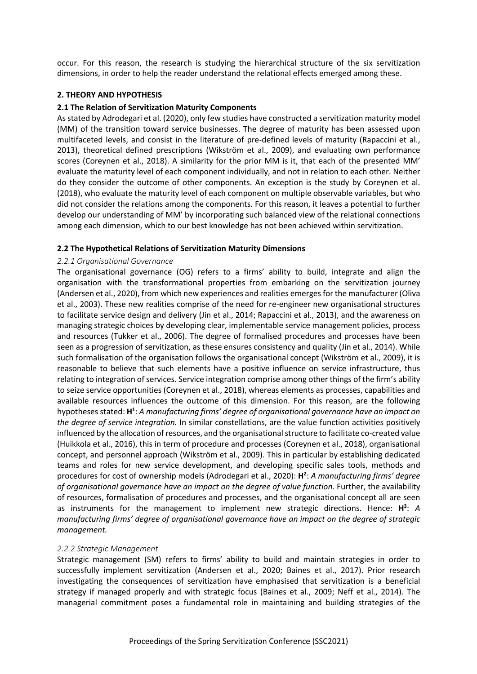occur. For this reason, the research is studying the hierarchical structure of the six servitization dimensions, in order to help the reader understand the relational effects emerged among these.

# **2. THEORY AND HYPOTHESIS**

## **2.1 The Relation of Servitization Maturity Components**

As stated by Adrodegari et al. (2020), only few studies have constructed a servitization maturity model (MM) of the transition toward service businesses. The degree of maturity has been assessed upon multifaceted levels, and consist in the literature of pre-defined levels of maturity (Rapaccini et al., 2013), theoretical defined prescriptions (Wikström et al., 2009), and evaluating own performance scores (Coreynen et al., 2018). A similarity for the prior MM is it, that each of the presented MM' evaluate the maturity level of each component individually, and not in relation to each other. Neither do they consider the outcome of other components. An exception is the study by Coreynen et al. (2018), who evaluate the maturity level of each component on multiple observable variables, but who did not consider the relations among the components. For this reason, it leaves a potential to further develop our understanding of MM' by incorporating such balanced view of the relational connections among each dimension, which to our best knowledge has not been achieved within servitization.

## **2.2 The Hypothetical Relations of Servitization Maturity Dimensions**

### *2.2.1 Organisational Governance*

The organisational governance (OG) refers to a firms' ability to build, integrate and align the organisation with the transformational properties from embarking on the servitization journey (Andersen et al., 2020), from which new experiences and realities emerges for the manufacturer (Oliva et al., 2003). These new realities comprise of the need for re-engineer new organisational structures to facilitate service design and delivery (Jin et al., 2014; Rapaccini et al., 2013), and the awareness on managing strategic choices by developing clear, implementable service management policies, process and resources (Tukker et al., 2006). The degree of formalised procedures and processes have been seen as a progression of servitization, as these ensures consistency and quality (Jin et al., 2014). While such formalisation of the organisation follows the organisational concept (Wikström et al., 2009), it is reasonable to believe that such elements have a positive influence on service infrastructure, thus relating to integration of services. Service integration comprise among other things of the firm's ability to seize service opportunities (Coreynen et al., 2018), whereas elements as processes, capabilities and available resources influences the outcome of this dimension. For this reason, are the following hypotheses stated: **H1** : *A manufacturing firms' degree of organisational governance have an impact on the degree of service integration.* In similar constellations, are the value function activities positively influenced by the allocation of resources, and the organisational structure to facilitate co-created value (Huikkola et al., 2016), this in term of procedure and processes (Coreynen et al., 2018), organisational concept, and personnel approach (Wikström et al., 2009). This in particular by establishing dedicated teams and roles for new service development, and developing specific sales tools, methods and procedures for cost of ownership models (Adrodegari et al., 2020): H<sup>2</sup>: *A manufacturing firms' degree of organisational governance have an impact on the degree of value function.* Further, the availability of resources, formalisation of procedures and processes, and the organisational concept all are seen as instruments for the management to implement new strategic directions. Hence: H<sup>3</sup>: A *manufacturing firms' degree of organisational governance have an impact on the degree of strategic management.*

## *2.2.2 Strategic Management*

Strategic management (SM) refers to firms' ability to build and maintain strategies in order to successfully implement servitization (Andersen et al., 2020; Baines et al., 2017). Prior research investigating the consequences of servitization have emphasised that servitization is a beneficial strategy if managed properly and with strategic focus (Baines et al., 2009; Neff et al., 2014). The managerial commitment poses a fundamental role in maintaining and building strategies of the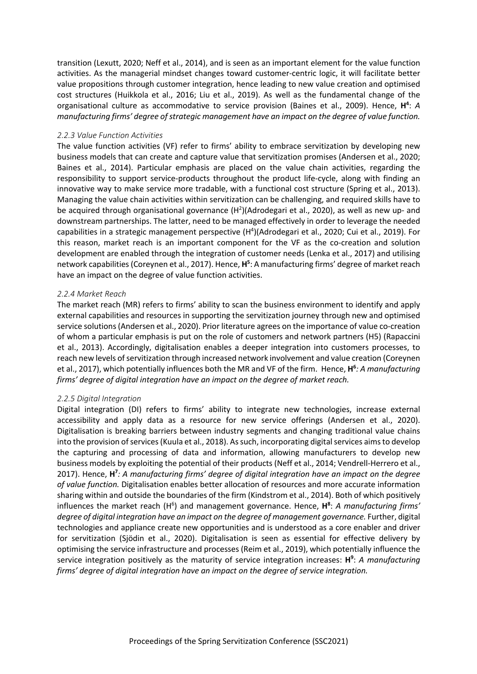transition (Lexutt, 2020; Neff et al., 2014), and is seen as an important element for the value function activities. As the managerial mindset changes toward customer-centric logic, it will facilitate better value propositions through customer integration, hence leading to new value creation and optimised cost structures (Huikkola et al., 2016; Liu et al., 2019). As well as the fundamental change of the organisational culture as accommodative to service provision (Baines et al., 2009). Hence, H<sup>4</sup>: A *manufacturing firms' degree of strategic management have an impact on the degree of value function.*

### *2.2.3 Value Function Activities*

The value function activities (VF) refer to firms' ability to embrace servitization by developing new business models that can create and capture value that servitization promises (Andersen et al., 2020; Baines et al., 2014). Particular emphasis are placed on the value chain activities, regarding the responsibility to support service-products throughout the product life-cycle, along with finding an innovative way to make service more tradable, with a functional cost structure (Spring et al., 2013). Managing the value chain activities within servitization can be challenging, and required skills have to be acquired through organisational governance  $(H^2)$ (Adrodegari et al., 2020), as well as new up- and downstream partnerships. The latter, need to be managed effectively in order to leverage the needed capabilities in a strategic management perspective (H<sup>4</sup>)(Adrodegari et al., 2020; Cui et al., 2019). For this reason, market reach is an important component for the VF as the co-creation and solution development are enabled through the integration of customer needs (Lenka et al., 2017) and utilising network capabilities (Coreynen et al., 2017). Hence, H<sup>5</sup>: A manufacturing firms' degree of market reach have an impact on the degree of value function activities.

## *2.2.4 Market Reach*

The market reach (MR) refers to firms' ability to scan the business environment to identify and apply external capabilities and resources in supporting the servitization journey through new and optimised service solutions(Andersen et al., 2020). Prior literature agrees on the importance of value co-creation of whom a particular emphasis is put on the role of customers and network partners (H5) (Rapaccini et al., 2013). Accordingly, digitalisation enables a deeper integration into customers processes, to reach new levels of servitization through increased network involvement and value creation (Coreynen et al., 2017), which potentially influences both the MR and VF of the firm.Hence, **H6** *: A manufacturing firms' degree of digital integration have an impact on the degree of market reach.*

## *2.2.5 Digital Integration*

Digital integration (DI) refers to firms' ability to integrate new technologies, increase external accessibility and apply data as a resource for new service offerings (Andersen et al., 2020). Digitalisation is breaking barriers between industry segments and changing traditional value chains into the provision of services (Kuula et al., 2018). As such, incorporating digital services aims to develop the capturing and processing of data and information, allowing manufacturers to develop new business models by exploiting the potential of their products (Neff et al., 2014; Vendrell-Herrero et al., 2017). Hence, **H7** *: A manufacturing firms' degree of digital integration have an impact on the degree of value function.* Digitalisation enables better allocation of resources and more accurate information sharing within and outside the boundaries of the firm (Kindstrom et al., 2014). Both of which positively influences the market reach (H<sup>6</sup>) and management governance. Hence, H<sup>8</sup>: *A manufacturing firms' degree of digital integration have an impact on the degree of management governance.* Further, digital technologies and appliance create new opportunities and is understood as a core enabler and driver for servitization (Sjödin et al., 2020). Digitalisation is seen as essential for effective delivery by optimising the service infrastructure and processes (Reim et al., 2019), which potentially influence the service integration positively as the maturity of service integration increases: **H9** : *A manufacturing firms' degree of digital integration have an impact on the degree of service integration.*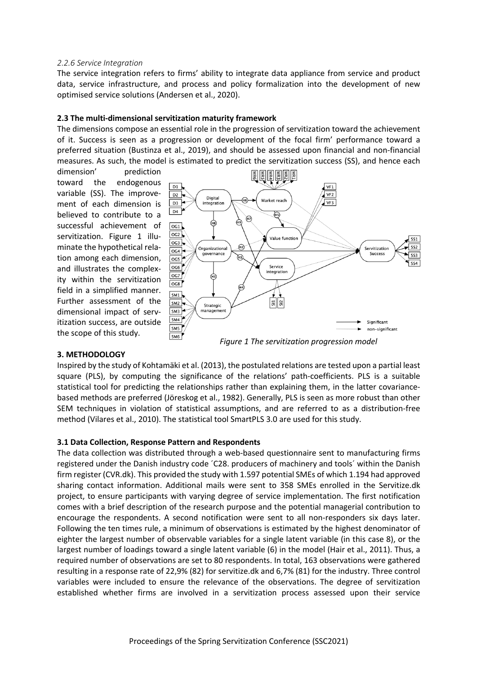### *2.2.6 Service Integration*

The service integration refers to firms' ability to integrate data appliance from service and product data, service infrastructure, and process and policy formalization into the development of new optimised service solutions (Andersen et al., 2020).

## **2.3 The multi-dimensional servitization maturity framework**

The dimensions compose an essential role in the progression of servitization toward the achievement of it. Success is seen as a progression or development of the focal firm' performance toward a preferred situation (Bustinza et al., 2019), and should be assessed upon financial and non-financial measures. As such, the model is estimated to predict the servitization success (SS), and hence each

dimension' prediction toward the endogenous variable (SS). The improvement of each dimension is believed to contribute to a successful achievement of servitization. Figure 1 illuminate the hypothetical relation among each dimension, and illustrates the complexity within the servitization field in a simplified manner. Further assessment of the dimensional impact of servitization success, are outside the scope of this study.



#### **3. METHODOLOGY**

Inspired by the study of Kohtamäki et al. (2013), the postulated relations are tested upon a partial least square (PLS), by computing the significance of the relations' path-coefficients. PLS is a suitable statistical tool for predicting the relationships rather than explaining them, in the latter covariancebased methods are preferred (Jöreskog et al., 1982). Generally, PLS is seen as more robust than other SEM techniques in violation of statistical assumptions, and are referred to as a distribution-free method (Vilares et al., 2010). The statistical tool SmartPLS 3.0 are used for this study.

#### **3.1 Data Collection, Response Pattern and Respondents**

The data collection was distributed through a web-based questionnaire sent to manufacturing firms registered under the Danish industry code ´C28. producers of machinery and tools´ within the Danish firm register (CVR.dk). This provided the study with 1.597 potential SMEs of which 1.194 had approved sharing contact information. Additional mails were sent to 358 SMEs enrolled in the Servitize.dk project, to ensure participants with varying degree of service implementation. The first notification comes with a brief description of the research purpose and the potential managerial contribution to encourage the respondents. A second notification were sent to all non-responders six days later. Following the ten times rule, a minimum of observations is estimated by the highest denominator of eighter the largest number of observable variables for a single latent variable (in this case 8), or the largest number of loadings toward a single latent variable (6) in the model (Hair et al., 2011). Thus, a required number of observations are set to 80 respondents. In total, 163 observations were gathered resulting in a response rate of 22,9% (82) for servitize.dk and 6,7% (81) for the industry. Three control variables were included to ensure the relevance of the observations. The degree of servitization established whether firms are involved in a servitization process assessed upon their service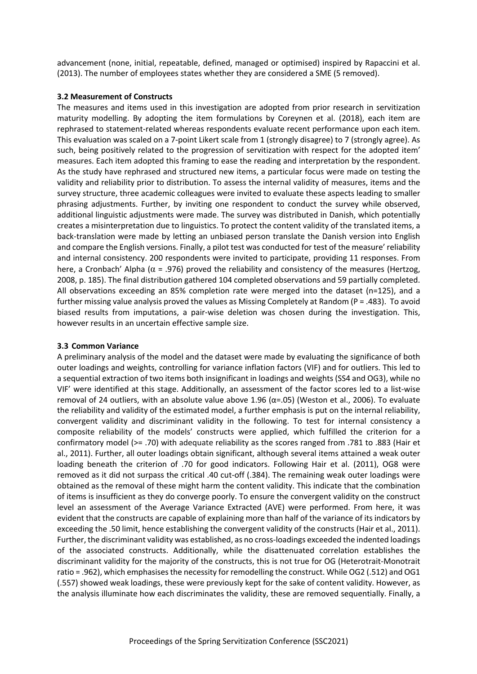advancement (none, initial, repeatable, defined, managed or optimised) inspired by Rapaccini et al. (2013). The number of employees states whether they are considered a SME (5 removed).

## **3.2 Measurement of Constructs**

The measures and items used in this investigation are adopted from prior research in servitization maturity modelling. By adopting the item formulations by Coreynen et al. (2018), each item are rephrased to statement-related whereas respondents evaluate recent performance upon each item. This evaluation was scaled on a 7-point Likert scale from 1 (strongly disagree) to 7 (strongly agree). As such, being positively related to the progression of servitization with respect for the adopted item' measures. Each item adopted this framing to ease the reading and interpretation by the respondent. As the study have rephrased and structured new items, a particular focus were made on testing the validity and reliability prior to distribution. To assess the internal validity of measures, items and the survey structure, three academic colleagues were invited to evaluate these aspects leading to smaller phrasing adjustments. Further, by inviting one respondent to conduct the survey while observed, additional linguistic adjustments were made. The survey was distributed in Danish, which potentially creates a misinterpretation due to linguistics. To protect the content validity of the translated items, a back-translation were made by letting an unbiased person translate the Danish version into English and compare the English versions. Finally, a pilot test was conducted for test of the measure' reliability and internal consistency. 200 respondents were invited to participate, providing 11 responses. From here, a Cronbach' Alpha ( $α = .976$ ) proved the reliability and consistency of the measures (Hertzog, 2008, p. 185). The final distribution gathered 104 completed observations and 59 partially completed. All observations exceeding an 85% completion rate were merged into the dataset (n=125), and a further missing value analysis proved the values as Missing Completely at Random (P = .483). To avoid biased results from imputations, a pair-wise deletion was chosen during the investigation. This, however results in an uncertain effective sample size.

## **3.3 Common Variance**

A preliminary analysis of the model and the dataset were made by evaluating the significance of both outer loadings and weights, controlling for variance inflation factors (VIF) and for outliers. This led to a sequential extraction of two items both insignificant in loadings and weights (SS4 and OG3), while no VIF' were identified at this stage. Additionally, an assessment of the factor scores led to a list-wise removal of 24 outliers, with an absolute value above 1.96 ( $\alpha$ =.05) (Weston et al., 2006). To evaluate the reliability and validity of the estimated model, a further emphasis is put on the internal reliability, convergent validity and discriminant validity in the following. To test for internal consistency a composite reliability of the models' constructs were applied, which fulfilled the criterion for a confirmatory model (>= .70) with adequate reliability as the scores ranged from .781 to .883 (Hair et al., 2011). Further, all outer loadings obtain significant, although several items attained a weak outer loading beneath the criterion of .70 for good indicators. Following Hair et al. (2011), OG8 were removed as it did not surpass the critical .40 cut-off (.384). The remaining weak outer loadings were obtained as the removal of these might harm the content validity. This indicate that the combination of items is insufficient as they do converge poorly. To ensure the convergent validity on the construct level an assessment of the Average Variance Extracted (AVE) were performed. From here, it was evident that the constructs are capable of explaining more than half of the variance of its indicators by exceeding the .50 limit, hence establishing the convergent validity of the constructs (Hair et al., 2011). Further, the discriminant validity was established, as no cross-loadings exceeded the indented loadings of the associated constructs. Additionally, while the disattenuated correlation establishes the discriminant validity for the majority of the constructs, this is not true for OG (Heterotrait-Monotrait ratio = .962), which emphasisesthe necessity for remodelling the construct. While OG2 (.512) and OG1 (.557) showed weak loadings, these were previously kept for the sake of content validity. However, as the analysis illuminate how each discriminates the validity, these are removed sequentially. Finally, a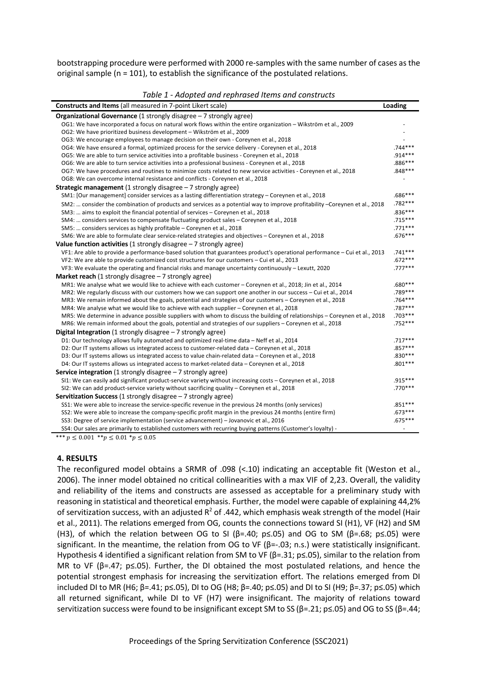bootstrapping procedure were performed with 2000 re-samples with the same number of cases as the original sample (n = 101), to establish the significance of the postulated relations.

*Table 1 - Adopted and rephrased Items and constructs*

| <b>Constructs and Items</b> (all measured in 7-point Likert scale)                                                         | Loading   |
|----------------------------------------------------------------------------------------------------------------------------|-----------|
| <b>Organizational Governance</b> (1 strongly disagree $-7$ strongly agree)                                                 |           |
| OG1: We have incorporated a focus on natural work flows within the entire organization - Wikström et al., 2009             |           |
| OG2: We have prioritized business development - Wikström et al., 2009                                                      |           |
| OG3: We encourage employees to manage decision on their own - Coreynen et al., 2018                                        |           |
| OG4: We have ensured a formal, optimized process for the service delivery - Coreynen et al., 2018                          | $.744***$ |
| OG5: We are able to turn service activities into a profitable business - Coreynen et al., 2018                             | .914***   |
| OG6: We are able to turn service activities into a professional business - Coreynen et al., 2018                           | .886 ***  |
| OG7: We have procedures and routines to minimize costs related to new service activities - Coreynen et al., 2018           | $.848***$ |
| OG8: We can overcome internal resistance and conflicts - Coreynen et al., 2018                                             |           |
| <b>Strategic management</b> (1 strongly disagree $-7$ strongly agree)                                                      |           |
| SM1: [Our management] consider services as a lasting differentiation strategy - Coreynen et al., 2018                      | $.686***$ |
| SM2:  consider the combination of products and services as a potential way to improve profitability -Coreynen et al., 2018 | .782***   |
| SM3:  aims to exploit the financial potential of services - Coreynen et al., 2018                                          | $.836***$ |
| SM4:  considers services to compensate fluctuating product sales - Coreynen et al., 2018                                   | $.715***$ |
| SM5:  considers services as highly profitable - Coreynen et al., 2018                                                      | $.771***$ |
| SM6: We are able to formulate clear service-related strategies and objectives - Coreynen et al., 2018                      | $.676***$ |
| Value function activities (1 strongly disagree $-7$ strongly agree)                                                        |           |
| VF1: Are able to provide a performance-based solution that guarantees product's operational performance - Cui et al., 2013 | $.741***$ |
| VF2: We are able to provide customized cost structures for our customers - Cui et al., 2013                                | $.672***$ |
| VF3: We evaluate the operating and financial risks and manage uncertainty continuously - Lexutt, 2020                      | $.777***$ |
| <b>Market reach</b> (1 strongly disagree $-7$ strongly agree)                                                              |           |
| MR1: We analyse what we would like to achieve with each customer - Coreynen et al., 2018; Jin et al., 2014                 | .680 ***  |
| MR2: We regularly discuss with our customers how we can support one another in our success - Cui et al., 2014              | .789 ***  |
| MR3: We remain informed about the goals, potential and strategies of our customers - Coreynen et al., 2018                 | .764***   |
| MR4: We analyse what we would like to achieve with each supplier - Coreynen et al., 2018                                   | .787***   |
| MR5: We determine in advance possible suppliers with whom to discuss the building of relationships - Coreynen et al., 2018 | .703 ***  |
| MR6: We remain informed about the goals, potential and strategies of our suppliers - Coreynen et al., 2018                 | $.752***$ |
| <b>Digital Integration</b> (1 strongly disagree $-7$ strongly agree)                                                       |           |
| D1: Our technology allows fully automated and optimized real-time data - Neff et al., 2014                                 | $.717***$ |
| D2: Our IT systems allows us integrated access to customer-related data - Coreynen et al., 2018                            | $.857***$ |
| D3: Our IT systems allows us integrated access to value chain-related data - Coreynen et al., 2018                         | $.830***$ |
| D4: Our IT systems allows us integrated access to market-related data - Coreynen et al., 2018                              | $.801***$ |
| <b>Service integration</b> (1 strongly disagree $-7$ strongly agree)                                                       |           |
| SI1: We can easily add significant product-service variety without increasing costs - Coreynen et al., 2018                | .915***   |
| SI2: We can add product-service variety without sacrificing quality - Coreynen et al., 2018                                | $.770***$ |
| <b>Servitization Success</b> (1 strongly disagree $-7$ strongly agree)                                                     |           |
| SS1: We were able to increase the service-specific revenue in the previous 24 months (only services)                       | $.851***$ |
| SS2: We were able to increase the company-specific profit margin in the previous 24 months (entire firm)                   | $.673***$ |
| SS3: Degree of service implementation (service advancement) - Jovanovic et al., 2016                                       | $.675***$ |
| SS4: Our sales are primarily to established customers with recurring buying patterns (Customer's loyalty) -                | ÷,        |

\*\*\*  $p \le 0.001$  \*\* $p \le 0.01$  \* $p \le 0.05$ 

#### **4. RESULTS**

The reconfigured model obtains a SRMR of .098 (<.10) indicating an acceptable fit (Weston et al., 2006). The inner model obtained no critical collinearities with a max VIF of 2,23. Overall, the validity and reliability of the items and constructs are assessed as acceptable for a preliminary study with reasoning in statistical and theoretical emphasis. Further, the model were capable of explaining 44,2% of servitization success, with an adjusted  $R^2$  of .442, which emphasis weak strength of the model (Hair et al., 2011). The relations emerged from OG, counts the connections toward SI (H1), VF (H2) and SM (H3), of which the relation between OG to SI ( $\beta$ =.40; p $\le$ .05) and OG to SM ( $\beta$ =.68; p $\le$ .05) were significant. In the meantime, the relation from OG to VF ( $\beta$ =-.03; n.s.) were statistically insignificant. Hypothesis 4 identified a significant relation from SM to VF ( $\beta$ =.31; p≤.05), similar to the relation from MR to VF ( $\beta$ =.47; p 
subsetseq Fig. cheapther, the DI obtained the most postulated relations, and hence the potential strongest emphasis for increasing the servitization effort. The relations emerged from DI included DI to MR (H6; β=.41; p≤.05), DI to OG (H8; β=.40; p≤.05) and DI to SI (H9; β=.37; p≤.05) which all returned significant, while DI to VF (H7) were insignificant. The majority of relations toward servitization success were found to be insignificant except SM to SS ( $\beta$ =.21;  $p \le 0.05$ ) and OG to SS ( $\beta$ =.44;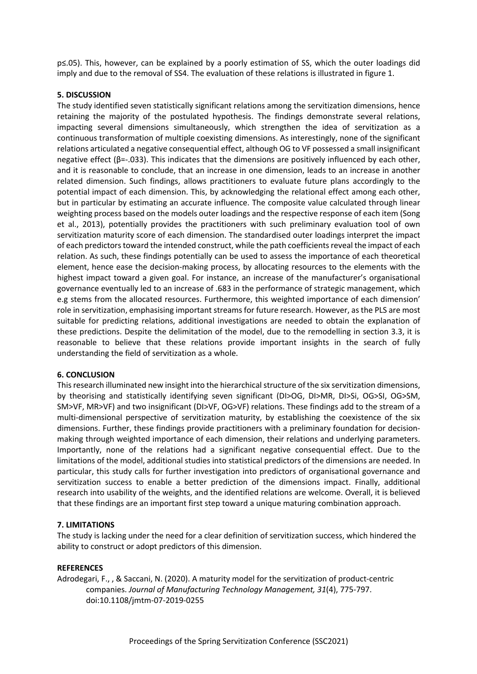p≤.05). This, however, can be explained by a poorly estimation of SS, which the outer loadings did imply and due to the removal of SS4. The evaluation of these relations is illustrated in figure 1.

## **5. DISCUSSION**

The study identified seven statistically significant relations among the servitization dimensions, hence retaining the majority of the postulated hypothesis. The findings demonstrate several relations, impacting several dimensions simultaneously, which strengthen the idea of servitization as a continuous transformation of multiple coexisting dimensions. As interestingly, none of the significant relations articulated a negative consequential effect, although OG to VF possessed a small insignificant negative effect ( $\beta$ =-.033). This indicates that the dimensions are positively influenced by each other, and it is reasonable to conclude, that an increase in one dimension, leads to an increase in another related dimension. Such findings, allows practitioners to evaluate future plans accordingly to the potential impact of each dimension. This, by acknowledging the relational effect among each other, but in particular by estimating an accurate influence. The composite value calculated through linear weighting process based on the models outer loadings and the respective response of each item (Song et al., 2013), potentially provides the practitioners with such preliminary evaluation tool of own servitization maturity score of each dimension. The standardised outer loadings interpret the impact of each predictors toward the intended construct, while the path coefficients reveal the impact of each relation. As such, these findings potentially can be used to assess the importance of each theoretical element, hence ease the decision-making process, by allocating resources to the elements with the highest impact toward a given goal. For instance, an increase of the manufacturer's organisational governance eventually led to an increase of .683 in the performance of strategic management, which e.g stems from the allocated resources. Furthermore, this weighted importance of each dimension' role in servitization, emphasising important streams for future research. However, as the PLS are most suitable for predicting relations, additional investigations are needed to obtain the explanation of these predictions. Despite the delimitation of the model, due to the remodelling in section 3.3, it is reasonable to believe that these relations provide important insights in the search of fully understanding the field of servitization as a whole.

#### **6. CONCLUSION**

This research illuminated new insight into the hierarchical structure of the six servitization dimensions, by theorising and statistically identifying seven significant (DI>OG, DI>MR, DI>Si, OG>SI, OG>SM, SM>VF, MR>VF) and two insignificant (DI>VF, OG>VF) relations. These findings add to the stream of a multi-dimensional perspective of servitization maturity, by establishing the coexistence of the six dimensions. Further, these findings provide practitioners with a preliminary foundation for decisionmaking through weighted importance of each dimension, their relations and underlying parameters. Importantly, none of the relations had a significant negative consequential effect. Due to the limitations of the model, additional studies into statistical predictors of the dimensions are needed. In particular, this study calls for further investigation into predictors of organisational governance and servitization success to enable a better prediction of the dimensions impact. Finally, additional research into usability of the weights, and the identified relations are welcome. Overall, it is believed that these findings are an important first step toward a unique maturing combination approach.

## **7. LIMITATIONS**

The study is lacking under the need for a clear definition of servitization success, which hindered the ability to construct or adopt predictors of this dimension.

## **REFERENCES**

Adrodegari, F., , & Saccani, N. (2020). A maturity model for the servitization of product-centric companies. *Journal of Manufacturing Technology Management, 31*(4), 775-797. doi:10.1108/jmtm-07-2019-0255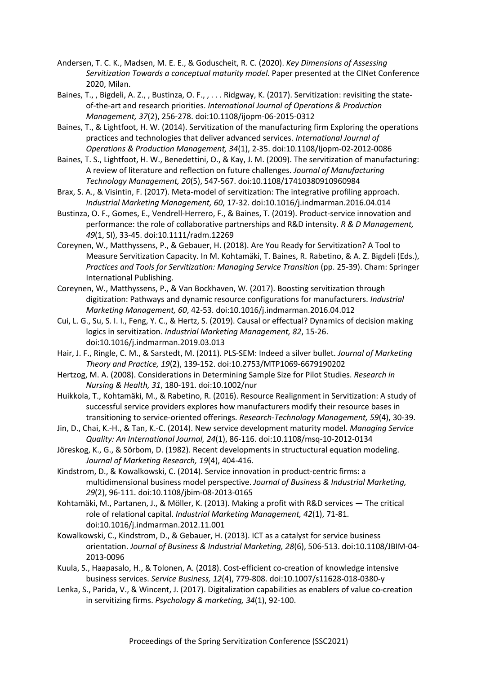- Andersen, T. C. K., Madsen, M. E. E., & Goduscheit, R. C. (2020). *Key Dimensions of Assessing Servitization Towards a conceptual maturity model.* Paper presented at the CINet Conference 2020, Milan.
- Baines, T., , Bigdeli, A. Z., , Bustinza, O. F., , ... Ridgway, K. (2017). Servitization: revisiting the stateof-the-art and research priorities. *International Journal of Operations & Production Management, 37*(2), 256-278. doi:10.1108/ijopm-06-2015-0312
- Baines, T., & Lightfoot, H. W. (2014). Servitization of the manufacturing firm Exploring the operations practices and technologies that deliver advanced services. *International Journal of Operations & Production Management, 34*(1), 2-35. doi:10.1108/Ijopm-02-2012-0086
- Baines, T. S., Lightfoot, H. W., Benedettini, O., & Kay, J. M. (2009). The servitization of manufacturing: A review of literature and reflection on future challenges. *Journal of Manufacturing Technology Management, 20*(5), 547-567. doi:10.1108/17410380910960984
- Brax, S. A., & Visintin, F. (2017). Meta-model of servitization: The integrative profiling approach. *Industrial Marketing Management, 60*, 17-32. doi:10.1016/j.indmarman.2016.04.014
- Bustinza, O. F., Gomes, E., Vendrell-Herrero, F., & Baines, T. (2019). Product-service innovation and performance: the role of collaborative partnerships and R&D intensity. *R & D Management, 49*(1, SI), 33-45. doi:10.1111/radm.12269
- Coreynen, W., Matthyssens, P., & Gebauer, H. (2018). Are You Ready for Servitization? A Tool to Measure Servitization Capacity. In M. Kohtamäki, T. Baines, R. Rabetino, & A. Z. Bigdeli (Eds.), *Practices and Tools for Servitization: Managing Service Transition* (pp. 25-39). Cham: Springer International Publishing.
- Coreynen, W., Matthyssens, P., & Van Bockhaven, W. (2017). Boosting servitization through digitization: Pathways and dynamic resource configurations for manufacturers. *Industrial Marketing Management, 60*, 42-53. doi:10.1016/j.indmarman.2016.04.012
- Cui, L. G., Su, S. I. I., Feng, Y. C., & Hertz, S. (2019). Causal or effectual? Dynamics of decision making logics in servitization. *Industrial Marketing Management, 82*, 15-26. doi:10.1016/j.indmarman.2019.03.013
- Hair, J. F., Ringle, C. M., & Sarstedt, M. (2011). PLS-SEM: Indeed a silver bullet. *Journal of Marketing Theory and Practice, 19*(2), 139-152. doi:10.2753/MTP1069-6679190202
- Hertzog, M. A. (2008). Considerations in Determining Sample Size for Pilot Studies. *Research in Nursing & Health, 31*, 180-191. doi:10.1002/nur
- Huikkola, T., Kohtamäki, M., & Rabetino, R. (2016). Resource Realignment in Servitization: A study of successful service providers explores how manufacturers modify their resource bases in transitioning to service-oriented offerings. *Research-Technology Management, 59*(4), 30-39.
- Jin, D., Chai, K.-H., & Tan, K.-C. (2014). New service development maturity model. *Managing Service Quality: An International Journal, 24*(1), 86-116. doi:10.1108/msq-10-2012-0134
- Jöreskog, K., G., & Sörbom, D. (1982). Recent developments in structuctural equation modeling. *Journal of Marketing Research, 19*(4), 404-416.
- Kindstrom, D., & Kowalkowski, C. (2014). Service innovation in product-centric firms: a multidimensional business model perspective. *Journal of Business & Industrial Marketing, 29*(2), 96-111. doi:10.1108/jbim-08-2013-0165
- Kohtamäki, M., Partanen, J., & Möller, K. (2013). Making a profit with R&D services The critical role of relational capital. *Industrial Marketing Management, 42*(1), 71-81. doi:10.1016/j.indmarman.2012.11.001
- Kowalkowski, C., Kindstrom, D., & Gebauer, H. (2013). ICT as a catalyst for service business orientation. *Journal of Business & Industrial Marketing, 28*(6), 506-513. doi:10.1108/JBIM-04- 2013-0096
- Kuula, S., Haapasalo, H., & Tolonen, A. (2018). Cost-efficient co-creation of knowledge intensive business services. *Service Business, 12*(4), 779-808. doi:10.1007/s11628-018-0380-y
- Lenka, S., Parida, V., & Wincent, J. (2017). Digitalization capabilities as enablers of value co-creation in servitizing firms. *Psychology & marketing, 34*(1), 92-100.